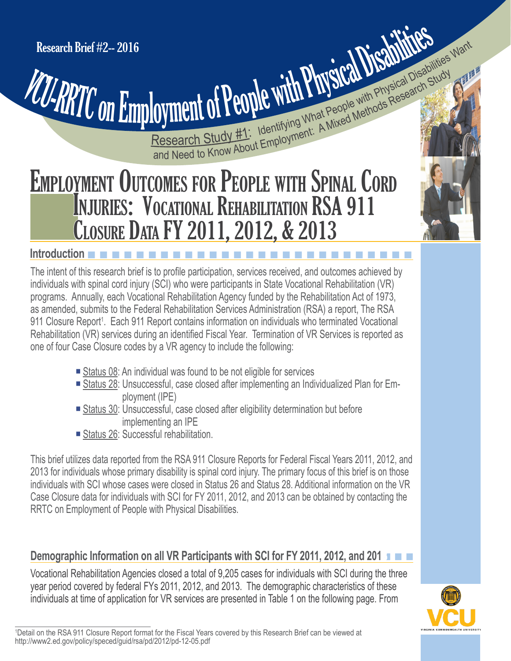**Cyment of People With Physical Disable With Study (A)**<br>Research Study #1: Identifying What People with Physical Disable Study<br>and Need to Know About Employment: A Mixed Methods Research **Cyment of People with Physical Disabilities Want** 

# EMPLOYMENT OUTCOMES FOR PEOPLE WITH SPINAL CORD INJURIES: VOCATIONAL REHABILITATION RSA 911 CLOSURE DATA FY 2011, 2012, & 2013

#### **Introduction**

The intent of this research brief is to profile participation, services received, and outcomes achieved by individuals with spinal cord injury (SCI) who were participants in State Vocational Rehabilitation (VR) programs. Annually, each Vocational Rehabilitation Agency funded by the Rehabilitation Act of 1973, as amended, submits to the Federal Rehabilitation Services Administration (RSA) a report, The RSA 911 Closure Report<sup>1</sup>. Each 911 Report contains information on individuals who terminated Vocational Rehabilitation (VR) services during an identified Fiscal Year. Termination of VR Services is reported as one of four Case Closure codes by a VR agency to include the following:

- Status 08: An individual was found to be not eligible for services
- Status 28: Unsuccessful, case closed after implementing an Individualized Plan for Employment (IPE)
- Status 30: Unsuccessful, case closed after eligibility determination but before implementing an IPE
- Status 26: Successful rehabilitation.

This brief utilizes data reported from the RSA 911 Closure Reports for Federal Fiscal Years 2011, 2012, and 2013 for individuals whose primary disability is spinal cord injury. The primary focus of this brief is on those individuals with SCI whose cases were closed in Status 26 and Status 28. Additional information on the VR Case Closure data for individuals with SCI for FY 2011, 2012, and 2013 can be obtained by contacting the RRTC on Employment of People with Physical Disabilities.

## **Demographic Information on all VR Participants with SCI for FY 2011, 2012, and 2013**n n n

Vocational Rehabilitation Agencies closed a total of 9,205 cases for individuals with SCI during the three year period covered by federal FYs 2011, 2012, and 2013. The demographic characteristics of these individuals at time of application for VR services are presented in Table 1 on the following page. From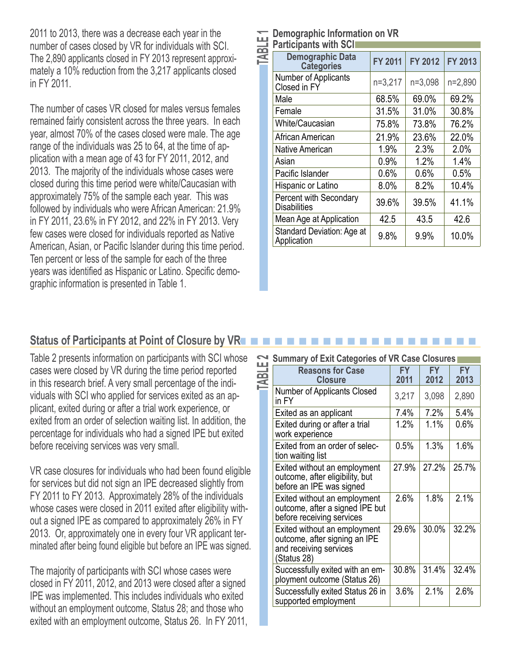2011 to 2013, there was a decrease each year in the number of cases closed by VR for individuals with SCI. The 2,890 applicants closed in FY 2013 represent approximately a 10% reduction from the 3,217 applicants closed in FY 2011.

The number of cases VR closed for males versus females remained fairly consistent across the three years. In each year, almost 70% of the cases closed were male. The age range of the individuals was 25 to 64, at the time of application with a mean age of 43 for FY 2011, 2012, and 2013. The majority of the individuals whose cases were closed during this time period were white/Caucasian with approximately 75% of the sample each year. This was followed by individuals who were African American: 21.9% in FY 2011, 23.6% in FY 2012, and 22% in FY 2013. Very few cases were closed for individuals reported as Native American, Asian, or Pacific Islander during this time period. Ten percent or less of the sample for each of the three years was identified as Hispanic or Latino. Specific demographic information is presented in Table 1.

| TABLE1 | Demographic Information on VR<br><b>Participants with SCI</b> |                |         |         |
|--------|---------------------------------------------------------------|----------------|---------|---------|
|        | <b>Demographic Data</b><br><b>Categories</b>                  | <b>FY 2011</b> | FY 2012 | FY 2013 |
|        | Number of Applicants<br>Closed in FY                          | n=3,217        | n=3,098 | n=2,890 |
|        | Male                                                          | 68.5%          | 69.0%   | 69.2%   |
|        | Female                                                        | 31.5%          | 31.0%   | 30.8%   |
|        | White/Caucasian                                               | 75.8%          | 73.8%   | 76.2%   |
|        | African American                                              | 21.9%          | 23.6%   | 22.0%   |
|        | Native American                                               | 1.9%           | 2.3%    | 2.0%    |
|        | Asian                                                         | $0.9\%$        | 1.2%    | 1.4%    |
|        | Pacific Islander                                              | 0.6%           | 0.6%    | 0.5%    |
|        | Hispanic or Latino                                            | 8.0%           | 8.2%    | 10.4%   |
|        | <b>Percent with Secondary</b><br><b>Disabilities</b>          | 39.6%          | 39.5%   | 41.1%   |
|        | Mean Age at Application                                       | 42.5           | 43.5    | 42.6    |
|        | <b>Standard Deviation: Age at</b><br>Application              | 9.8%           | 9.9%    | 10.0%   |

#### **Status of Participants at Point of Closure by VRn**

Table 2 presents information on participants with SCI whose cases were closed by VR during the time period reported in this research brief. A very small percentage of the individuals with SCI who applied for services exited as an applicant, exited during or after a trial work experience, or exited from an order of selection waiting list. In addition, the percentage for individuals who had a signed IPE but exited before receiving services was very small.

VR case closures for individuals who had been found eligible for services but did not sign an IPE decreased slightly from FY 2011 to FY 2013. Approximately 28% of the individuals whose cases were closed in 2011 exited after eligibility without a signed IPE as compared to approximately 26% in FY 2013. Or, approximately one in every four VR applicant terminated after being found eligible but before an IPE was signed.

The majority of participants with SCI whose cases were closed in FY 2011, 2012, and 2013 were closed after a signed IPE was implemented. This includes individuals who exited without an employment outcome, Status 28; and those who exited with an employment outcome, Status 26. In FY 2011,

| $\mathbf{\Omega}$ | <b>Summary of Exit Categories of VR Case Closures</b>                                                  |                   |                   |                   |
|-------------------|--------------------------------------------------------------------------------------------------------|-------------------|-------------------|-------------------|
|                   | <b>Reasons for Case</b><br><b>Closure</b>                                                              | <b>FY</b><br>2011 | <b>FY</b><br>2012 | <b>FY</b><br>2013 |
|                   | <b>Number of Applicants Closed</b><br>in FY                                                            | 3,217             | 3,098             | 2,890             |
|                   | Exited as an applicant                                                                                 | 7.4%              | 7.2%              | 5.4%              |
|                   | Exited during or after a trial<br>work experience                                                      | 1.2%              | 1.1%              | 0.6%              |
|                   | Exited from an order of selec-<br>tion waiting list                                                    | 0.5%              | 1.3%              | 1.6%              |
|                   | Exited without an employment<br>outcome, after eligibility, but<br>before an IPE was signed            | 27.9%             | 27.2%             | 25.7%             |
|                   | Exited without an employment<br>outcome, after a signed IPE but<br>before receiving services           | 2.6%              | 1.8%              | 2.1%              |
|                   | Exited without an employment<br>outcome, after signing an IPE<br>and receiving services<br>(Status 28) | 29.6%             | 30.0%             | 32.2%             |
|                   | Successfully exited with an em-<br>ployment outcome (Status 26)                                        | 30.8%             | 31.4%             | 32.4%             |
|                   | Successfully exited Status 26 in<br>supported employment                                               | 3.6%              | 2.1%              | 2.6%              |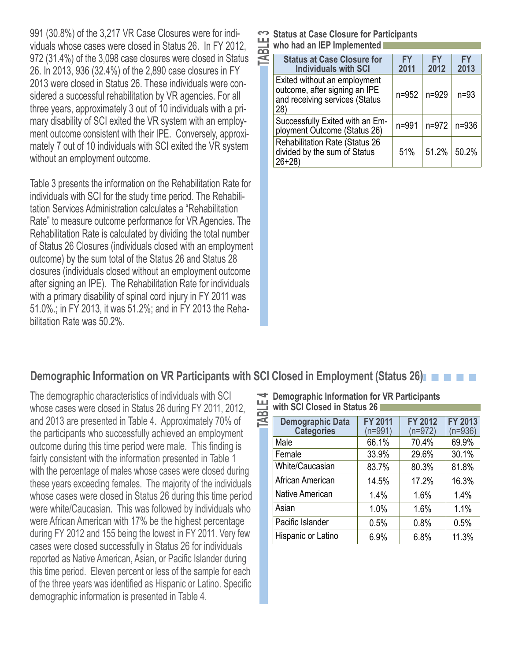991 (30.8%) of the 3,217 VR Case Closures were for individuals whose cases were closed in Status 26. In FY 2012, 972 (31.4%) of the 3,098 case closures were closed in Status 26. In 2013, 936 (32.4%) of the 2,890 case closures in FY 2013 were closed in Status 26. These individuals were considered a successful rehabilitation by VR agencies. For all three years, approximately 3 out of 10 individuals with a primary disability of SCI exited the VR system with an employment outcome consistent with their IPE. Conversely, approximately 7 out of 10 individuals with SCI exited the VR system without an employment outcome.

Table 3 presents the information on the Rehabilitation Rate for individuals with SCI for the study time period. The Rehabilitation Services Administration calculates a "Rehabilitation Rate" to measure outcome performance for VR Agencies. The Rehabilitation Rate is calculated by dividing the total number of Status 26 Closures (individuals closed with an employment outcome) by the sum total of the Status 26 and Status 28 closures (individuals closed without an employment outcome after signing an IPE). The Rehabilitation Rate for individuals with a primary disability of spinal cord injury in FY 2011 was 51.0%.; in FY 2013, it was 51.2%; and in FY 2013 the Rehabilitation Rate was 50.2%.

| <b>TABLE</b> | <b>Status at Case Closure for Participants</b><br>who had an IEP Implemented                           |                   |                   |                   |
|--------------|--------------------------------------------------------------------------------------------------------|-------------------|-------------------|-------------------|
|              | <b>Status at Case Closure for</b><br><b>Individuals with SCI</b>                                       | <b>FY</b><br>2011 | <b>FY</b><br>2012 | <b>FY</b><br>2013 |
|              | Exited without an employment<br>outcome, after signing an IPE<br>and receiving services (Status<br>28) | $n = 952$         | n=929             | $n=93$            |
|              | Successfully Exited with an Em-<br>ployment Outcome (Status 26)                                        | n=991             | $n = 972$         | $n = 936$         |
|              | <b>Rehabilitation Rate (Status 26</b><br>divided by the sum of Status<br>$26 + 28$                     | 51%               | 51.2%             | 50.2%             |

#### **Demographic Information on VR Participants with SCI Closed in Employment (Status 26)**

The demographic characteristics of individuals with SCI whose cases were closed in Status 26 during FY 2011, 2012, and 2013 are presented in Table 4. Approximately 70% of the participants who successfully achieved an employment outcome during this time period were male. This finding is fairly consistent with the information presented in Table 1 with the percentage of males whose cases were closed during these years exceeding females. The majority of the individuals whose cases were closed in Status 26 during this time period were white/Caucasian. This was followed by individuals who were African American with 17% be the highest percentage during FY 2012 and 155 being the lowest in FY 2011. Very few cases were closed successfully in Status 26 for individuals reported as Native American, Asian, or Pacific Islander during this time period. Eleven percent or less of the sample for each of the three years was identified as Hispanic or Latino. Specific demographic information is presented in Table 4.

**TABLE 4 Demographic Information for VR Participants**<br>
with SCI Closed in Status 26<br> **TABLE 7 Demographic Data** | FY 2011 | FY 2012 **with SCI Closed in Status 26** 

| <b>Demographic Data</b><br><b>Categories</b> | <b>FY 2011</b><br>(n=991) | <b>FY 2012</b><br>$(n=972)$ | FY 2013<br>$(n=936)$ |
|----------------------------------------------|---------------------------|-----------------------------|----------------------|
| Male                                         | 66.1%                     | 70.4%                       | 69.9%                |
| Female                                       | 33.9%                     | 29.6%                       | 30.1%                |
| White/Caucasian                              | 83.7%                     | 80.3%                       | 81.8%                |
| African American                             | 14.5%                     | 17.2%                       | 16.3%                |
| <b>Native American</b>                       | 1.4%                      | 1.6%                        | 1.4%                 |
| Asian                                        | 1.0%                      | 1.6%                        | 1.1%                 |
| Pacific Islander                             | 0.5%                      | 0.8%                        | 0.5%                 |
| Hispanic or Latino                           | 6.9%                      | 6.8%                        | 11.3%                |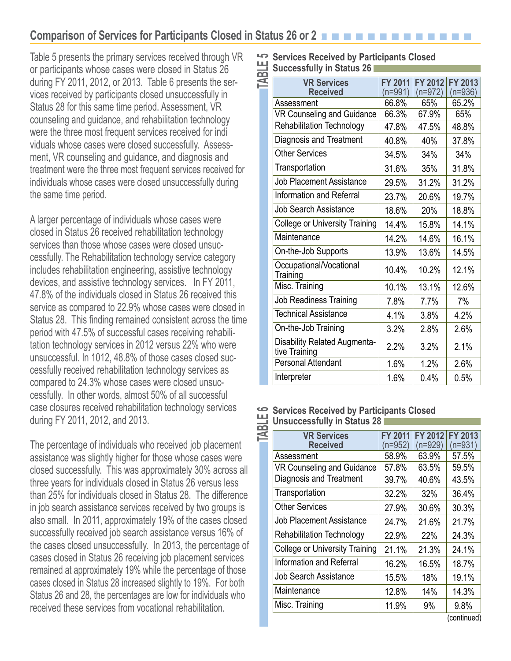### **Comparison of Services for Participants Closed in Status 26 or 2**

Table 5 presents the primary services received through VR or participants whose cases were closed in Status 26 during FY 2011, 2012, or 2013. Table 6 presents the services received by participants closed unsuccessfully in Status 28 for this same time period. Assessment, VR counseling and guidance, and rehabilitation technology were the three most frequent services received for indi viduals whose cases were closed successfully. Assessment, VR counseling and guidance, and diagnosis and treatment were the three most frequent services received for individuals whose cases were closed unsuccessfully during the same time period.

A larger percentage of individuals whose cases were closed in Status 26 received rehabilitation technology services than those whose cases were closed unsuccessfully. The Rehabilitation technology service category includes rehabilitation engineering, assistive technology devices, and assistive technology services. In FY 2011, 47.8% of the individuals closed in Status 26 received this service as compared to 22.9% whose cases were closed in Status 28. This finding remained consistent across the time period with 47.5% of successful cases receiving rehabilitation technology services in 2012 versus 22% who were unsuccessful. In 1012, 48.8% of those cases closed successfully received rehabilitation technology services as compared to 24.3% whose cases were closed unsuccessfully. In other words, almost 50% of all successful case closures received rehabilitation technology services during FY 2011, 2012, and 2013.

The percentage of individuals who received job placement assistance was slightly higher for those whose cases were closed successfully. This was approximately 30% across all three years for individuals closed in Status 26 versus less than 25% for individuals closed in Status 28. The difference in job search assistance services received by two groups is also small. In 2011, approximately 19% of the cases closed successfully received job search assistance versus 16% of the cases closed unsuccessfully. In 2013, the percentage of cases closed in Status 26 receiving job placement services remained at approximately 19% while the percentage of those cases closed in Status 28 increased slightly to 19%. For both Status 26 and 28, the percentages are low for individuals who received these services from vocational rehabilitation.

| 5                                                    | <b>Services Received by Participants Closed</b>      |                             |                             |                         |  |
|------------------------------------------------------|------------------------------------------------------|-----------------------------|-----------------------------|-------------------------|--|
|                                                      | <b>Successfully in Status 26</b>                     |                             |                             |                         |  |
|                                                      | <b>VR Services</b><br><b>Received</b>                | <b>FY 2011</b><br>$(n=991)$ | <b>FY 2012</b><br>$(n=972)$ | FY 2013<br>$(n=936)$    |  |
|                                                      | Assessment                                           | 66.8%                       | 65%                         | 65.2%                   |  |
|                                                      | <b>VR Counseling and Guidance</b>                    | 66.3%                       | 67.9%                       | 65%                     |  |
|                                                      | <b>Rehabilitation Technology</b>                     | 47.8%                       | 47.5%                       | 48.8%                   |  |
|                                                      | Diagnosis and Treatment                              | 40.8%                       | 40%                         | 37.8%                   |  |
|                                                      | <b>Other Services</b>                                | 34.5%                       | 34%                         | 34%                     |  |
|                                                      | Transportation                                       | 31.6%                       | 35%                         | 31.8%                   |  |
|                                                      | <b>Job Placement Assistance</b>                      | 29.5%                       | 31.2%                       | 31.2%                   |  |
|                                                      | Information and Referral                             | 23.7%                       | 20.6%                       | 19.7%                   |  |
|                                                      | <b>Job Search Assistance</b>                         | 18.6%                       | 20%                         | 18.8%                   |  |
|                                                      | <b>College or University Training</b>                | 14.4%                       | 15.8%                       | 14.1%                   |  |
|                                                      | Maintenance                                          | 14.2%                       | 14.6%                       | 16.1%                   |  |
|                                                      | On-the-Job Supports                                  | 13.9%                       | 13.6%                       | 14.5%                   |  |
|                                                      | Occupational/Vocational<br>Training                  | 10.4%                       | 10.2%                       | 12.1%                   |  |
|                                                      | Misc. Training                                       | 10.1%                       | 13.1%                       | 12.6%                   |  |
|                                                      | <b>Job Readiness Training</b>                        | 7.8%                        | 7.7%                        | 7%                      |  |
|                                                      | <b>Technical Assistance</b>                          | 4.1%                        | 3.8%                        | 4.2%                    |  |
|                                                      | On-the-Job Training                                  | 3.2%                        | 2.8%                        | 2.6%                    |  |
|                                                      | <b>Disability Related Augmenta-</b><br>tive Training | 2.2%                        | 3.2%                        | 2.1%                    |  |
|                                                      | <b>Personal Attendant</b>                            | 1.6%                        | 1.2%                        | 2.6%                    |  |
|                                                      | Interpreter                                          | 1.6%                        | 0.4%                        | 0.5%                    |  |
| <b>Services Received by Participants Closed</b><br>ڡ |                                                      |                             |                             |                         |  |
|                                                      | <b>Unsuccessfully in Status 28</b>                   |                             |                             |                         |  |
|                                                      | <b>VR Services</b>                                   |                             |                             | FY 2011 FY 2012 FY 2013 |  |

#### **Services Received by Participants Closed**  Unsuccessfully in Status 28

| <b>VR Services</b><br><b>Received</b> | <b>FY 2011</b><br>$(n=952)$ | FY 2012<br>$(n=929)$ | <b>FY 2013</b><br>$(n=931)$ |
|---------------------------------------|-----------------------------|----------------------|-----------------------------|
| Assessment                            | 58.9%                       | 63.9%                | 57.5%                       |
| VR Counseling and Guidance            | 57.8%                       | 63.5%                | 59.5%                       |
| <b>Diagnosis and Treatment</b>        | 39.7%                       | 40.6%                | 43.5%                       |
| Transportation                        | 32.2%                       | 32%                  | 36.4%                       |
| <b>Other Services</b>                 | 27.9%                       | 30.6%                | 30.3%                       |
| <b>Job Placement Assistance</b>       | 24.7%                       | 21.6%                | 21.7%                       |
| <b>Rehabilitation Technology</b>      | 22.9%                       | <b>22%</b>           | 24.3%                       |
| <b>College or University Training</b> | 21.1%                       | 21.3%                | 24.1%                       |
| <b>Information and Referral</b>       | 16.2%                       | 16.5%                | 18.7%                       |
| <b>Job Search Assistance</b>          | 15.5%                       | 18%                  | 19.1%                       |
| Maintenance                           | 12.8%                       | 14%                  | 14.3%                       |
| Misc. Training                        | 11.9%                       | 9%                   | 9.8%                        |

(continued)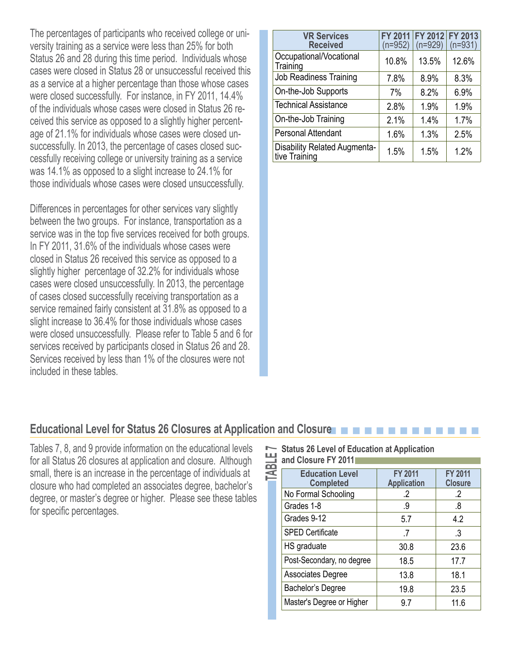The percentages of participants who received college or university training as a service were less than 25% for both Status 26 and 28 during this time period. Individuals whose cases were closed in Status 28 or unsuccessful received this as a service at a higher percentage than those whose cases were closed successfully. For instance, in FY 2011, 14.4% of the individuals whose cases were closed in Status 26 received this service as opposed to a slightly higher percentage of 21.1% for individuals whose cases were closed unsuccessfully. In 2013, the percentage of cases closed successfully receiving college or university training as a service was 14.1% as opposed to a slight increase to 24.1% for those individuals whose cases were closed unsuccessfully.

Differences in percentages for other services vary slightly between the two groups. For instance, transportation as a service was in the top five services received for both groups. In FY 2011, 31.6% of the individuals whose cases were closed in Status 26 received this service as opposed to a slightly higher percentage of 32.2% for individuals whose cases were closed unsuccessfully. In 2013, the percentage of cases closed successfully receiving transportation as a service remained fairly consistent at 31.8% as opposed to a slight increase to 36.4% for those individuals whose cases were closed unsuccessfully. Please refer to Table 5 and 6 for services received by participants closed in Status 26 and 28. Services received by less than 1% of the closures were not included in these tables.

| <b>VR Services</b><br><b>Received</b>         | <b>FY 2011</b><br>$(n=952)$ | FY 2012 FY 2013<br>$(n=929)$ | $(n=931)$ |
|-----------------------------------------------|-----------------------------|------------------------------|-----------|
| Occupational/Vocational<br>Training           | 10.8%                       | 13.5%                        | 12.6%     |
| Job Readiness Training                        | 7.8%                        | 8.9%                         | 8.3%      |
| On-the-Job Supports                           | 7%                          | 8.2%                         | 6.9%      |
| <b>Technical Assistance</b>                   | 2.8%                        | 1.9%                         | 1.9%      |
| On-the-Job Training                           | 2.1%                        | 1.4%                         | 1.7%      |
| <b>Personal Attendant</b>                     | 1.6%                        | 1.3%                         | 2.5%      |
| Disability Related Augmenta-<br>tive Training | 1.5%                        | 1.5%                         | 1.2%      |

#### **Educational Level for Status 26 Closures at Application and Closure**n n n n n n n n n n n n n

Tables 7, 8, and 9 provide information on the educational levels for all Status 26 closures at application and closure. Although small, there is an increase in the percentage of individuals at closure who had completed an associates degree, bachelor's degree, or master's degree or higher. Please see these tables for specific percentages.

| . | <b>]and Closure FY 201</b> 1 |  |
|---|------------------------------|--|
|   |                              |  |

| <b>TABLE</b> | <b>Status 26 Level of Education at Application</b><br>and Closure FY 2011 |                                      |                                  |
|--------------|---------------------------------------------------------------------------|--------------------------------------|----------------------------------|
|              | <b>Education Level</b><br><b>Completed</b>                                | <b>FY 2011</b><br><b>Application</b> | <b>FY 2011</b><br><b>Closure</b> |
|              | No Formal Schooling                                                       | $\cdot$                              | $\cdot$                          |
|              | Grades 1-8                                                                | .9                                   | .8                               |
|              | Grades 9-12                                                               | 5.7                                  | 4.2                              |
|              | <b>SPED Certificate</b>                                                   | .7                                   | .3                               |
|              | HS graduate                                                               | 30.8                                 | 23.6                             |
|              | Post-Secondary, no degree                                                 | 18.5                                 | 17.7                             |
|              | <b>Associates Degree</b>                                                  | 13.8                                 | 18.1                             |
|              | Bachelor's Degree                                                         | 19.8                                 | 23.5                             |
|              | Master's Degree or Higher                                                 | 9.7                                  | 11.6                             |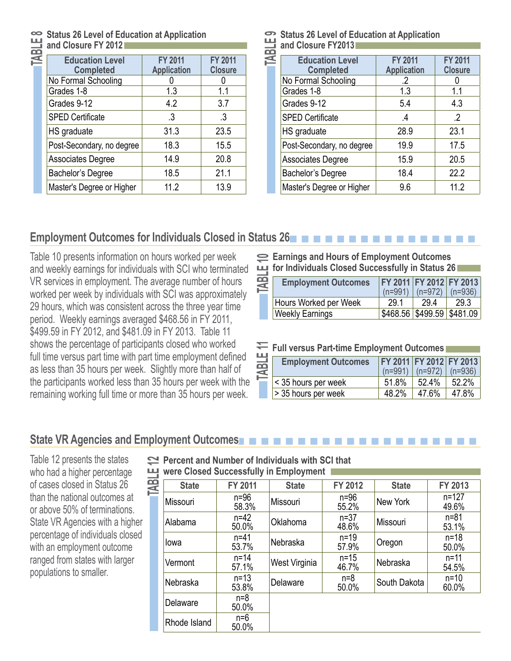# **and Closure FY 2012**

| Status 26 Level of Education at Application<br>and Closure FY 2012<br>Education Level FY 2011 |                    |                                  |  |  |
|-----------------------------------------------------------------------------------------------|--------------------|----------------------------------|--|--|
| <b>Completed</b>                                                                              | <b>Application</b> | <b>FY 2011</b><br><b>Closure</b> |  |  |
| No Formal Schooling                                                                           |                    |                                  |  |  |
| Grades 1-8                                                                                    | 1.3                | 1.1                              |  |  |
| Grades 9-12                                                                                   | 4.2                | 3.7                              |  |  |
| <b>SPED Certificate</b>                                                                       | $\cdot$ 3          | .3                               |  |  |
| HS graduate                                                                                   | 31.3               | 23.5                             |  |  |
| Post-Secondary, no degree                                                                     | 18.3               | 15.5                             |  |  |
| <b>Associates Degree</b>                                                                      | 14.9               | 20.8                             |  |  |
| Bachelor's Degree                                                                             | 18.5               | 21.1                             |  |  |
| Master's Degree or Higher                                                                     | 11.2               | 13.9                             |  |  |

# Status 26 Level of Education at Application<br>
and Closure FY2013<br>
Education Level FY 2011 **and Closure FY2013**

| <b>Education Level</b><br><b>Completed</b> | <b>FY 2011</b><br><b>Application</b> | <b>FY 2011</b><br><b>Closure</b> |
|--------------------------------------------|--------------------------------------|----------------------------------|
| No Formal Schooling                        | $\cdot$                              |                                  |
| Grades 1-8                                 | 1.3                                  | 1.1                              |
| Grades 9-12                                | 5.4                                  | 4.3                              |
| <b>SPED Certificate</b>                    | $\cdot$                              | $\cdot$                          |
| HS graduate                                | 28.9                                 | 23.1                             |
| Post-Secondary, no degree                  | 19.9                                 | 17.5                             |
| <b>Associates Degree</b>                   | 15.9                                 | 20.5                             |
| Bachelor's Degree                          | 18.4                                 | 22.2                             |
| Master's Degree or Higher                  | 9.6                                  | 11.2                             |

#### **Employment Outcomes for Individuals Closed in Status 26**

Table 10 presents information on hours worked per week and weekly earnings for individuals with SCI who terminated VR services in employment. The average number of hours worked per week by individuals with SCI was approximately 29 hours, which was consistent across the three year time period. Weekly earnings averaged \$468.56 in FY 2011, \$499.59 in FY 2012, and \$481.09 in FY 2013. Table 11 shows the percentage of participants closed who worked full time versus part time with part time employment defined as less than 35 hours per week. Slightly more than half of the participants worked less than 35 hours per week with the remaining working full time or more than 35 hours per week.

| 띡         | Earnings and Hours of Employment Outcomes<br>for Individuals Closed Successfully in Status 26 |                             |                                      |           |  |  |  |
|-----------|-----------------------------------------------------------------------------------------------|-----------------------------|--------------------------------------|-----------|--|--|--|
| TABI<br>M | <b>Employment Outcomes</b>                                                                    | <b>FY 2011</b><br>$(n=991)$ | <b>FY 2012 FY 2013</b><br>$(n=972)$  | $(n=936)$ |  |  |  |
|           | Hours Worked per Week                                                                         | 29.1                        | 29.4                                 | 29.3      |  |  |  |
|           | <b>Weekly Earnings</b>                                                                        | \$468.56                    | \$499.59                             | \$481.09  |  |  |  |
|           | <b>Full versus Part-time Employment Outcomes</b>                                              |                             |                                      |           |  |  |  |
| TABLE     | <b>Employment Outcomes</b>                                                                    | $(n=991)$                   | FY 2011 FY 2012 FY 2013<br>$(n=972)$ | (n=936)   |  |  |  |
|           | $\sim$ $ \sim$                                                                                | - 1 - 201                   | $-0.101$                             | - ~ ~ ~ ′ |  |  |  |

|   |  | Full versus Part-time Employment Outcomes |  |
|---|--|-------------------------------------------|--|
| . |  |                                           |  |

| ∸<br>$\overline{\phantom{0}}$<br>n<br>đ | <b>Employment Outcomes</b> |       | $(n=991)$ $(n=972)$ $(n=936)$ | <b>FY 2011 FY 2012 FY 2013</b> |
|-----------------------------------------|----------------------------|-------|-------------------------------|--------------------------------|
|                                         | < 35 hours per week        | 51.8% | $52.4\%$                      | $52.2\%$                       |
|                                         | > 35 hours per week        | 48.2% | 47.6%                         | 47.8%                          |

#### **State VR Agencies and Employment Outcomes** n n n n n n n n n n n n n n n n n n n n

Table 12 presents the states who had a higher percentage of cases closed in Status 26 than the national outcomes at or above 50% of terminations. State VR Agencies with a higher percentage of individuals closed with an employment outcome ranged from states with larger populations to smaller.

# **were Closed Successfully in Employment**

|      | $\approx$ Percent and Number of Individuals with SCI that |                   |               |                   |              |                    |  |  |  |
|------|-----------------------------------------------------------|-------------------|---------------|-------------------|--------------|--------------------|--|--|--|
| Ш    | were Closed Successfully in Employment                    |                   |               |                   |              |                    |  |  |  |
| TABI | <b>State</b>                                              | FY 2011           | <b>State</b>  | FY 2012           | <b>State</b> | <b>FY 2013</b>     |  |  |  |
|      | Missouri                                                  | $n=96$<br>58.3%   | Missouri      | $n=96$<br>55.2%   | New York     | $n = 127$<br>49.6% |  |  |  |
|      | Alabama                                                   | $n=42$<br>50.0%   | Oklahoma      | $n = 37$<br>48.6% | Missouri     | $n = 81$<br>53.1%  |  |  |  |
|      | lowa                                                      | $n=41$<br>53.7%   | Nebraska      | $n=19$<br>57.9%   | Oregon       | $n = 18$<br>50.0%  |  |  |  |
|      | Vermont                                                   | $n = 14$<br>57.1% | West Virginia | $n=15$<br>46.7%   | Nebraska     | $n = 11$<br>54.5%  |  |  |  |
|      | Nebraska                                                  | $n=13$<br>53.8%   | Delaware      | $n = 8$<br>50.0%  | South Dakota | $n = 10$<br>60.0%  |  |  |  |
|      | Delaware                                                  | $n=8$<br>50.0%    |               |                   |              |                    |  |  |  |
|      | Rhode Island                                              | $n=6$<br>50.0%    |               |                   |              |                    |  |  |  |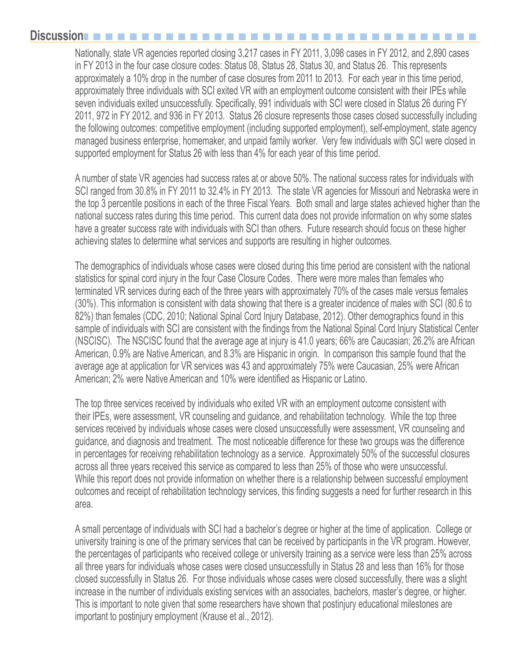#### **Discussion**n

Nationally, state VR agencies reported closing 3,217 cases in FY 2011, 3,098 cases in FY 2012, and 2,890 cases in FY 2013 in the four case closure codes: Status 08, Status 28, Status 30, and Status 26. This represents approximately a 10% drop in the number of case closures from 2011 to 2013. For each year in this time period, approximately three individuals with SCI exited VR with an employment outcome consistent with their IPEs while seven individuals exited unsuccessfully. Specifically, 991 individuals with SCI were closed in Status 26 during FY 2011, 972 in FY 2012, and 936 in FY 2013. Status 26 closure represents those cases closed successfully including the following outcomes: competitive employment (including supported employment), self-employment, state agency managed business enterprise, homemaker, and unpaid family worker. Very few individuals with SCI were closed in supported employment for Status 26 with less than 4% for each year of this time period.

A number of state VR agencies had success rates at or above 50%. The national success rates for individuals with SCI ranged from 30.8% in FY 2011 to 32.4% in FY 2013. The state VR agencies for Missouri and Nebraska were in the top 3 percentile positions in each of the three Fiscal Years. Both small and large states achieved higher than the national success rates during this time period. This current data does not provide information on why some states have a greater success rate with individuals with SCI than others. Future research should focus on these higher achieving states to determine what services and supports are resulting in higher outcomes.

The demographics of individuals whose cases were closed during this time period are consistent with the national statistics for spinal cord injury in the four Case Closure Codes. There were more males than females who terminated VR services during each of the three years with approximately 70% of the cases male versus females (30%). This information is consistent with data showing that there is a greater incidence of males with SCI (80.6 to 82%) than females (CDC, 2010; National Spinal Cord Injury Database, 2012). Other demographics found in this sample of individuals with SCI are consistent with the findings from the National Spinal Cord Injury Statistical Center (NSCISC). The NSCISC found that the average age at injury is 41.0 years; 66% are Caucasian; 26.2% are African American, 0.9% are Native American, and 8.3% are Hispanic in origin. In comparison this sample found that the average age at application for VR services was 43 and approximately 75% were Caucasian, 25% were African American; 2% were Native American and 10% were identified as Hispanic or Latino.

The top three services received by individuals who exited VR with an employment outcome consistent with their IPEs, were assessment, VR counseling and guidance, and rehabilitation technology. While the top three services received by individuals whose cases were closed unsuccessfully were assessment, VR counseling and guidance, and diagnosis and treatment. The most noticeable difference for these two groups was the difference in percentages for receiving rehabilitation technology as a service. Approximately 50% of the successful closures across all three years received this service as compared to less than 25% of those who were unsuccessful. While this report does not provide information on whether there is a relationship between successful employment outcomes and receipt of rehabilitation technology services, this finding suggests a need for further research in this area.

A small percentage of individuals with SCI had a bachelor's degree or higher at the time of application. College or university training is one of the primary services that can be received by participants in the VR program. However, the percentages of participants who received college or university training as a service were less than 25% across all three years for individuals whose cases were closed unsuccessfully in Status 28 and less than 16% for those closed successfully in Status 26. For those individuals whose cases were closed successfully, there was a slight increase in the number of individuals existing services with an associates, bachelors, master's degree, or higher. This is important to note given that some researchers have shown that postinjury educational milestones are important to postinjury employment (Krause et al., 2012).